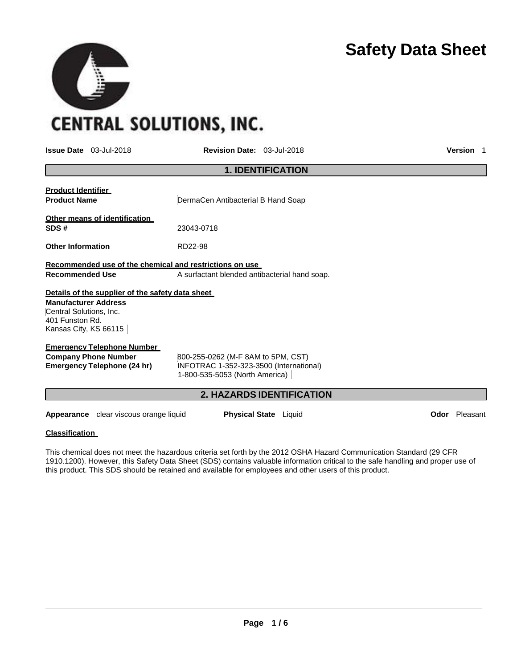# **Safety Data Sheet**

**CENTRAL SOLUTIONS, INC.** 

**Issue Date** 03-Jul-2018 **Revision Date:** 03-Jul-2018 **Version** 1

| <b>1. IDENTIFICATION</b>                                                                                                                               |                                                                                                                 |  |  |  |
|--------------------------------------------------------------------------------------------------------------------------------------------------------|-----------------------------------------------------------------------------------------------------------------|--|--|--|
| <u>Product Identifier</u><br><b>Product Name</b>                                                                                                       | DermaCen Antibacterial B Hand Soap                                                                              |  |  |  |
| Other means of identification<br>SDS#                                                                                                                  | 23043-0718                                                                                                      |  |  |  |
| <b>Other Information</b>                                                                                                                               | RD22-98                                                                                                         |  |  |  |
| Recommended use of the chemical and restrictions on use                                                                                                |                                                                                                                 |  |  |  |
| Recommended Use                                                                                                                                        | A surfactant blended antibacterial hand soap.                                                                   |  |  |  |
| Details of the supplier of the safety data sheet<br><b>Manufacturer Address</b><br>Central Solutions, Inc.<br>401 Funston Rd.<br>Kansas City, KS 66115 |                                                                                                                 |  |  |  |
| <b>Emergency Telephone Number</b>                                                                                                                      |                                                                                                                 |  |  |  |
| <b>Company Phone Number</b><br>Emergency Telephone (24 hr)                                                                                             | 800-255-0262 (M-F 8AM to 5PM, CST)<br>INFOTRAC 1-352-323-3500 (International)<br>1-800-535-5053 (North America) |  |  |  |
|                                                                                                                                                        | <b>2. HAZARDS IDENTIFICATION</b>                                                                                |  |  |  |

**Appearance** clear viscous orange liquid **Physical State** Liquid **Department Constanting Constanting Constanting Constanting Constanting Constanting Constanting Constanting Constanting Constanting Constanting Constanting C** 

# **Classification**

This chemical does not meet the hazardous criteria set forth by the 2012 OSHA Hazard Communication Standard (29 CFR 1910.1200). However, this Safety Data Sheet (SDS) contains valuable information critical to the safe handling and proper use of this product. This SDS should be retained and available for employees and other users of this product.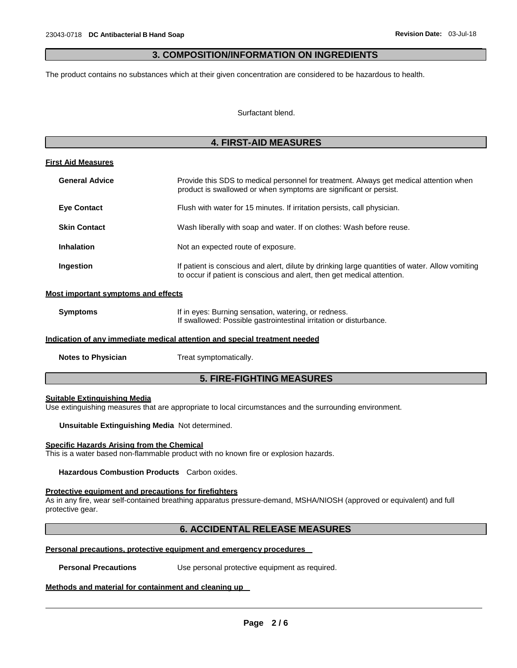# **3. COMPOSITION/INFORMATION ON INGREDIENTS**

The product contains no substances which at their given concentration are considered to be hazardous to health.

Surfactant blend.

# **4. FIRST-AID MEASURES**

#### **First Aid Measures**

| <b>General Advice</b> | Provide this SDS to medical personnel for treatment. Always get medical attention when<br>product is swallowed or when symptoms are significant or persist.                |
|-----------------------|----------------------------------------------------------------------------------------------------------------------------------------------------------------------------|
| <b>Eye Contact</b>    | Flush with water for 15 minutes. If irritation persists, call physician.                                                                                                   |
| <b>Skin Contact</b>   | Wash liberally with soap and water. If on clothes: Wash before reuse.                                                                                                      |
| <b>Inhalation</b>     | Not an expected route of exposure.                                                                                                                                         |
| Ingestion             | If patient is conscious and alert, dilute by drinking large quantities of water. Allow vomiting<br>to occur if patient is conscious and alert, then get medical attention. |

#### **Most important symptoms and effects**

| <b>Symptoms</b> | If in eyes: Burning sensation, watering, or redness.               |
|-----------------|--------------------------------------------------------------------|
|                 | If swallowed: Possible gastrointestinal irritation or disturbance. |

#### **Indication of any immediate medical attention and special treatment needed**

**Notes to Physician** Treat symptomatically.

# **5. FIRE-FIGHTING MEASURES**

#### **Suitable Extinguishing Media**

Use extinguishing measures that are appropriate to local circumstances and the surrounding environment.

**Unsuitable Extinguishing Media** Not determined.

#### **Specific Hazards Arising from the Chemical**

This is a water based non-flammable product with no known fire or explosion hazards.

**Hazardous Combustion Products** Carbon oxides.

#### **Protective equipment and precautions for firefighters**

As in any fire, wear self-contained breathing apparatus pressure-demand, MSHA/NIOSH (approved or equivalent) and full protective gear.

# **6. ACCIDENTAL RELEASE MEASURES**

#### **Personal precautions, protective equipment and emergency procedures**

**Personal Precautions** Use personal protective equipment as required.

#### **Methods and material for containment and cleaning up**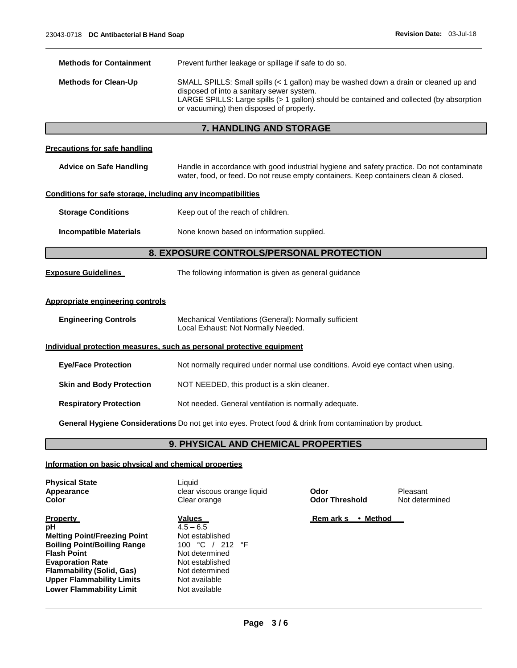| <b>Methods for Containment</b>                                                                           | Prevent further leakage or spillage if safe to do so.                                                                                                                                                                                                                     |  |  |
|----------------------------------------------------------------------------------------------------------|---------------------------------------------------------------------------------------------------------------------------------------------------------------------------------------------------------------------------------------------------------------------------|--|--|
| <b>Methods for Clean-Up</b>                                                                              | SMALL SPILLS: Small spills (< 1 gallon) may be washed down a drain or cleaned up and<br>disposed of into a sanitary sewer system.<br>LARGE SPILLS: Large spills (> 1 gallon) should be contained and collected (by absorption<br>or vacuuming) then disposed of properly. |  |  |
|                                                                                                          | 7. HANDLING AND STORAGE                                                                                                                                                                                                                                                   |  |  |
| <b>Precautions for safe handling</b>                                                                     |                                                                                                                                                                                                                                                                           |  |  |
| <b>Advice on Safe Handling</b>                                                                           | Handle in accordance with good industrial hygiene and safety practice. Do not contaminate<br>water, food, or feed. Do not reuse empty containers. Keep containers clean & closed.                                                                                         |  |  |
| Conditions for safe storage, including any incompatibilities                                             |                                                                                                                                                                                                                                                                           |  |  |
| <b>Storage Conditions</b>                                                                                | Keep out of the reach of children.                                                                                                                                                                                                                                        |  |  |
| <b>Incompatible Materials</b>                                                                            | None known based on information supplied.                                                                                                                                                                                                                                 |  |  |
| 8. EXPOSURE CONTROLS/PERSONAL PROTECTION                                                                 |                                                                                                                                                                                                                                                                           |  |  |
| <b>Exposure Guidelines</b>                                                                               | The following information is given as general guidance                                                                                                                                                                                                                    |  |  |
| Appropriate engineering controls                                                                         |                                                                                                                                                                                                                                                                           |  |  |
| <b>Engineering Controls</b>                                                                              | Mechanical Ventilations (General): Normally sufficient<br>Local Exhaust: Not Normally Needed.                                                                                                                                                                             |  |  |
|                                                                                                          | Individual protection measures, such as personal protective equipment                                                                                                                                                                                                     |  |  |
| <b>Eye/Face Protection</b>                                                                               | Not normally required under normal use conditions. Avoid eye contact when using.                                                                                                                                                                                          |  |  |
| <b>Skin and Body Protection</b>                                                                          | NOT NEEDED, this product is a skin cleaner.                                                                                                                                                                                                                               |  |  |
| <b>Respiratory Protection</b>                                                                            | Not needed. General ventilation is normally adequate.                                                                                                                                                                                                                     |  |  |
| General Hygiene Considerations Do not get into eyes. Protect food & drink from contamination by product. |                                                                                                                                                                                                                                                                           |  |  |
| 9. PHYSICAL AND CHEMICAL PROPERTIES                                                                      |                                                                                                                                                                                                                                                                           |  |  |
|                                                                                                          |                                                                                                                                                                                                                                                                           |  |  |

# **Information on basic physical and chemical properties**

| <b>Physical State</b><br>Appearance<br>Color                                                                                                                                                                                                                   | Liauid<br>clear viscous orange liquid<br>Clear orange                                                                                                       | Odor<br><b>Odor Threshold</b> | Pleasant<br>Not determined |
|----------------------------------------------------------------------------------------------------------------------------------------------------------------------------------------------------------------------------------------------------------------|-------------------------------------------------------------------------------------------------------------------------------------------------------------|-------------------------------|----------------------------|
| <b>Property</b><br>рH<br><b>Melting Point/Freezing Point</b><br><b>Boiling Point/Boiling Range</b><br><b>Flash Point</b><br><b>Evaporation Rate</b><br><b>Flammability (Solid, Gas)</b><br><b>Upper Flammability Limits</b><br><b>Lower Flammability Limit</b> | <b>Values</b><br>$4.5 - 6.5$<br>Not established<br>100 °C / 212 °F<br>Not determined<br>Not established<br>Not determined<br>Not available<br>Not available | • Method<br><b>Remarks</b>    |                            |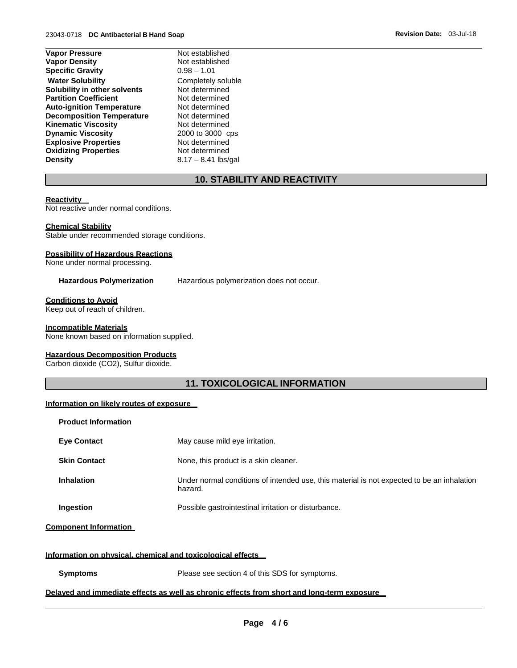| <b>Vapor Pressure</b>            | Not established    |
|----------------------------------|--------------------|
| <b>Vapor Density</b>             | Not established    |
| <b>Specific Gravity</b>          | $0.98 - 1.01$      |
| <b>Water Solubility</b>          | Completely solu    |
| Solubility in other solvents     | Not determined     |
| <b>Partition Coefficient</b>     | Not determined     |
| <b>Auto-ignition Temperature</b> | Not determined     |
| <b>Decomposition Temperature</b> | Not determined     |
| <b>Kinematic Viscosity</b>       | Not determined     |
| <b>Dynamic Viscosity</b>         | 2000 to 3000 c     |
| <b>Explosive Properties</b>      | Not determined     |
| <b>Oxidizing Properties</b>      | Not determined     |
| <b>Density</b>                   | $8.17 - 8.41$ lbs/ |
|                                  |                    |

established **B** – 1.01 mpletely soluble  $d$  etermined determined determined determined determined **Dynamic Viscosity** 2000 to 3000 cps determined **Oxidizing Properties** Not determined **Density** 8.17 – 8.41 lbs/gal

# **10. STABILITY AND REACTIVITY**

#### **Reactivity**

Not reactive under normal conditions.

#### **Chemical Stability**

Stable under recommended storage conditions.

### **Possibility of Hazardous Reactions**

None under normal processing.

**Hazardous Polymerization** Hazardous polymerization does not occur.

#### **Conditions to Avoid**

Keep out of reach of children.

#### **Incompatible Materials**

None known based on information supplied.

#### **Hazardous Decomposition Products**

Carbon dioxide (CO2), Sulfur dioxide.

# **11. TOXICOLOGICAL INFORMATION**

# **Information on likely routes of exposure**

| <b>Product Information</b> |                                                                                                       |
|----------------------------|-------------------------------------------------------------------------------------------------------|
| <b>Eve Contact</b>         | May cause mild eye irritation.                                                                        |
| <b>Skin Contact</b>        | None, this product is a skin cleaner.                                                                 |
| <b>Inhalation</b>          | Under normal conditions of intended use, this material is not expected to be an inhalation<br>hazard. |
| <b>Ingestion</b>           | Possible gastrointestinal irritation or disturbance.                                                  |

#### **Component Information**

#### **Information on physical, chemical and toxicological effects**

**Symptoms** Please see section 4 of this SDS for symptoms.

#### **Delayed and immediate effects as well as chronic effects from short and long-term exposure**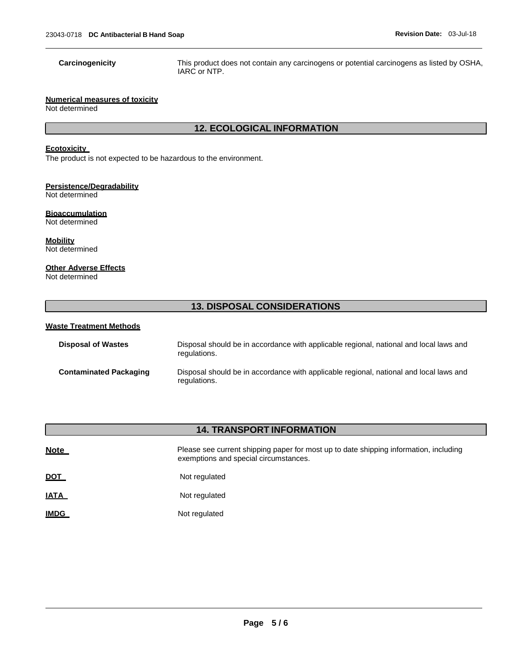**Carcinogenicity** This product does not contain any carcinogens or potential carcinogens as listed by OSHA, IARC or NTP.

# **Numerical measures of toxicity**

Not determined

# **12. ECOLOGICAL INFORMATION**

# **Ecotoxicity**

The product is not expected to be hazardous to the environment.

# **Persistence/Degradability**

Not determined

# **Bioaccumulation**

Not determined

**Mobility** Not determined

### **Other Adverse Effects**

Not determined

# **13. DISPOSAL CONSIDERATIONS**

#### **Waste Treatment Methods**

| <b>Disposal of Wastes</b>     | Disposal should be in accordance with applicable regional, national and local laws and<br>regulations. |
|-------------------------------|--------------------------------------------------------------------------------------------------------|
| <b>Contaminated Packaging</b> | Disposal should be in accordance with applicable regional, national and local laws and<br>regulations. |

# **14. TRANSPORT INFORMATION**

| <b>Note</b> | Please see current shipping paper for most up to date shipping information, including<br>exemptions and special circumstances. |
|-------------|--------------------------------------------------------------------------------------------------------------------------------|
| <u>DOT</u>  | Not regulated                                                                                                                  |
| <u>IATA</u> | Not regulated                                                                                                                  |
| <b>IMDG</b> | Not regulated                                                                                                                  |